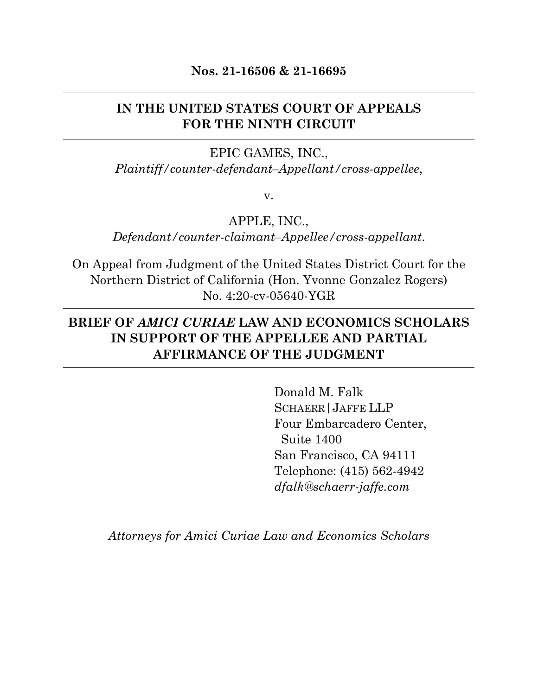#### **Nos. 21-16506 & 21-16695**

## **IN THE UNITED STATES COURT OF APPEALS FOR THE NINTH CIRCUIT**

## EPIC GAMES, INC., *Plaintiff/counter-defendant–Appellant/cross-appellee*,

v.

APPLE, INC.,

*Defendant/counter-claimant–Appellee/cross-appellant*.

On Appeal from Judgment of the United States District Court for the Northern District of California (Hon. Yvonne Gonzalez Rogers) No. 4:20-cv-05640-YGR

## **BRIEF OF** *AMICI CURIAE* **LAW AND ECONOMICS SCHOLARS IN SUPPORT OF THE APPELLEE AND PARTIAL AFFIRMANCE OF THE JUDGMENT**

Donald M. Falk SCHAERR|JAFFE LLP Four Embarcadero Center, Suite 1400 San Francisco, CA 94111 Telephone: (415) 562-4942 *dfalk@schaerr-jaffe.com*

*Attorneys for Amici Curiae Law and Economics Scholars*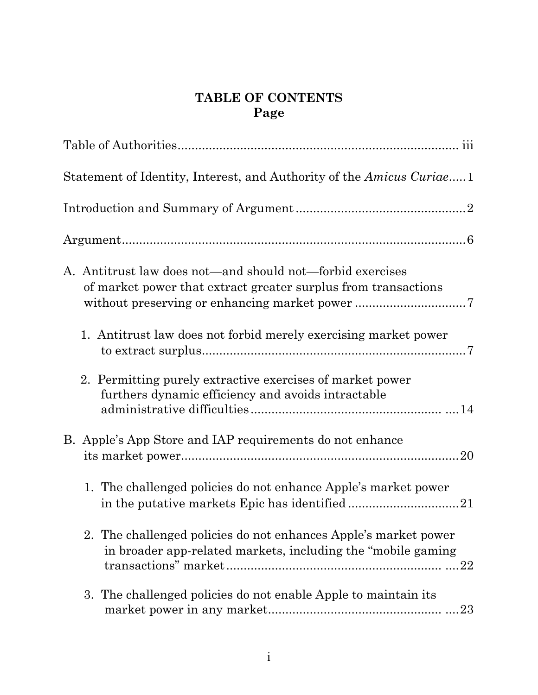# **TABLE OF CONTENTS Page**

| Statement of Identity, Interest, and Authority of the <i>Amicus Curiae</i> .1                                                    |
|----------------------------------------------------------------------------------------------------------------------------------|
|                                                                                                                                  |
|                                                                                                                                  |
| A. Antitrust law does not—and should not—forbid exercises<br>of market power that extract greater surplus from transactions      |
| 1. Antitrust law does not forbid merely exercising market power                                                                  |
| 2. Permitting purely extractive exercises of market power<br>furthers dynamic efficiency and avoids intractable                  |
| B. Apple's App Store and IAP requirements do not enhance                                                                         |
| 1. The challenged policies do not enhance Apple's market power                                                                   |
| 2. The challenged policies do not enhances Apple's market power<br>in broader app-related markets, including the "mobile gaming" |
| 3. The challenged policies do not enable Apple to maintain its                                                                   |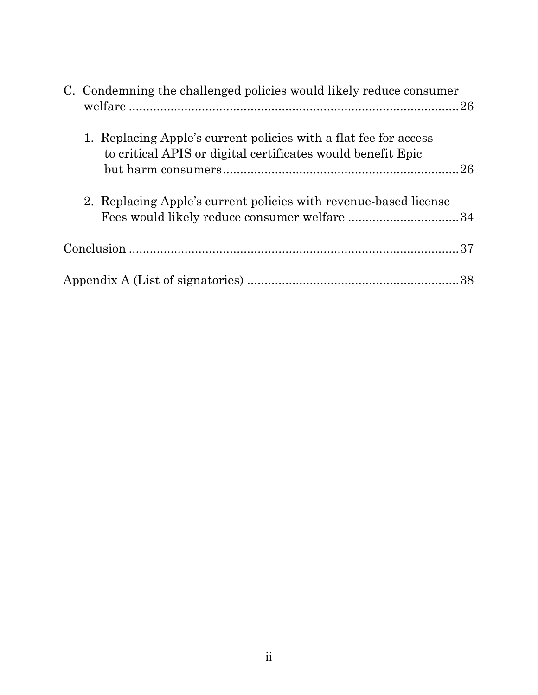| C. Condemning the challenged policies would likely reduce consumer                                                              |  |
|---------------------------------------------------------------------------------------------------------------------------------|--|
| 1. Replacing Apple's current policies with a flat fee for access<br>to critical APIS or digital certificates would benefit Epic |  |
| 2. Replacing Apple's current policies with revenue-based license                                                                |  |
|                                                                                                                                 |  |
|                                                                                                                                 |  |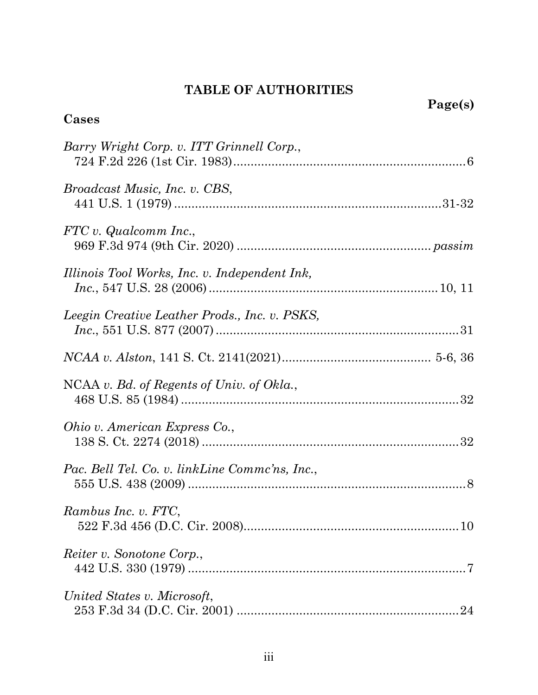# **TABLE OF AUTHORITIES**

| Cases                                          | Page(s) |
|------------------------------------------------|---------|
| Barry Wright Corp. v. ITT Grinnell Corp.,      |         |
| <i>Broadcast Music, Inc. v. CBS,</i>           |         |
| FTC v. Qualcomm Inc.,                          |         |
| Illinois Tool Works, Inc. v. Independent Ink,  |         |
| Leegin Creative Leather Prods., Inc. v. PSKS,  |         |
|                                                |         |
| NCAA v. Bd. of Regents of Univ. of Okla.,      |         |
| Ohio v. American Express Co.,                  |         |
| Pac. Bell Tel. Co. v. linkLine Commc'ns, Inc., |         |
| Rambus Inc. v. FTC,                            |         |
| <i>Reiter v. Sonotone Corp.,</i>               |         |
| United States v. Microsoft,                    |         |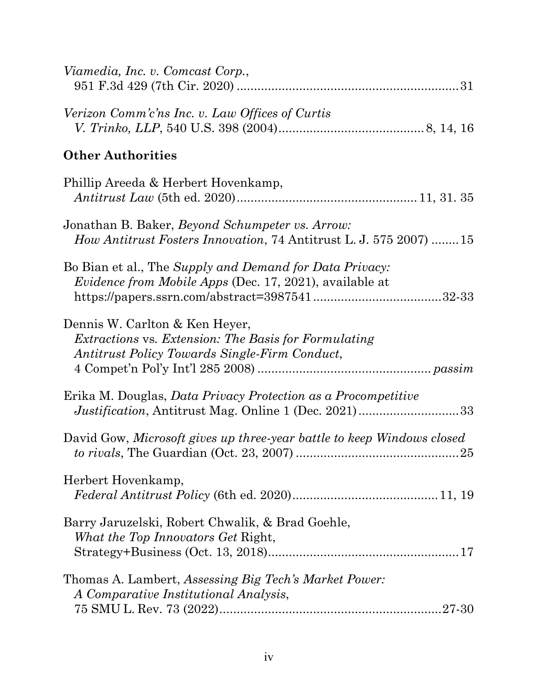| Viamedia, Inc. v. Comcast Corp.,                                                                                                               |
|------------------------------------------------------------------------------------------------------------------------------------------------|
| Verizon Comm'c'ns Inc. v. Law Offices of Curtis                                                                                                |
| <b>Other Authorities</b>                                                                                                                       |
| Phillip Areeda & Herbert Hovenkamp,                                                                                                            |
| Jonathan B. Baker, <i>Beyond Schumpeter vs. Arrow:</i><br><i>How Antitrust Fosters Innovation, 74 Antitrust L. J. 575 2007) 15</i>             |
| Bo Bian et al., The Supply and Demand for Data Privacy:<br><i>Evidence from Mobile Apps</i> (Dec. 17, 2021), available at                      |
| Dennis W. Carlton & Ken Heyer,<br><i>Extractions vs. Extension: The Basis for Formulating</i><br>Antitrust Policy Towards Single-Firm Conduct, |
| Erika M. Douglas, <i>Data Privacy Protection as a Procompetitive</i><br>Justification, Antitrust Mag. Online 1 (Dec. 2021)33                   |
| David Gow, Microsoft gives up three-year battle to keep Windows closed                                                                         |
| Herbert Hovenkamp,                                                                                                                             |
| Barry Jaruzelski, Robert Chwalik, & Brad Goehle,<br>What the Top Innovators Get Right,                                                         |
| Thomas A. Lambert, Assessing Big Tech's Market Power:<br>A Comparative Institutional Analysis,                                                 |
|                                                                                                                                                |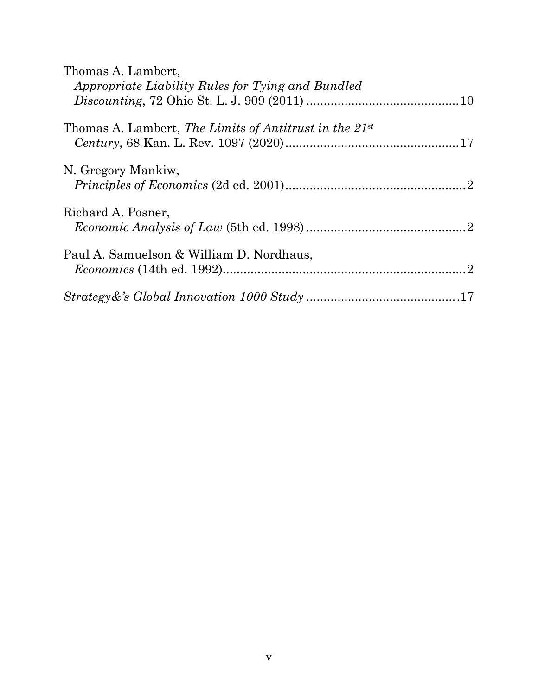| Thomas A. Lambert,                                             |
|----------------------------------------------------------------|
| Appropriate Liability Rules for Tying and Bundled              |
|                                                                |
| Thomas A. Lambert, The Limits of Antitrust in the 21st         |
|                                                                |
| N. Gregory Mankiw,                                             |
|                                                                |
|                                                                |
|                                                                |
|                                                                |
|                                                                |
|                                                                |
|                                                                |
| Richard A. Posner,<br>Paul A. Samuelson & William D. Nordhaus, |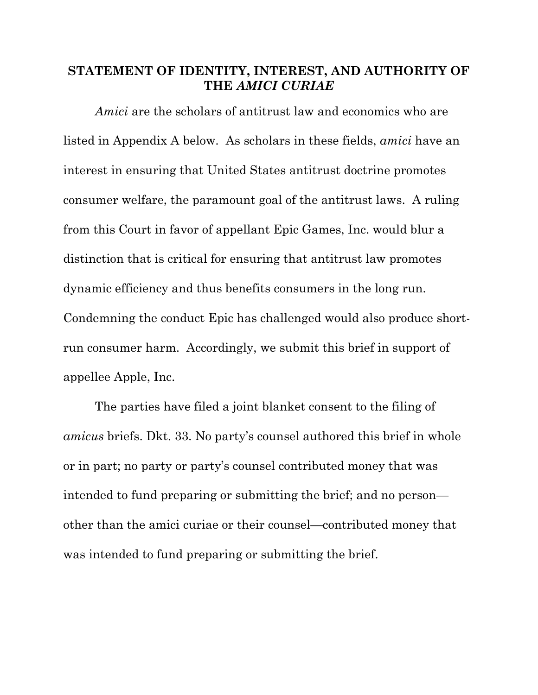### **STATEMENT OF IDENTITY, INTEREST, AND AUTHORITY OF THE** *AMICI CURIAE*

*Amici* are the scholars of antitrust law and economics who are listed in Appendix A below. As scholars in these fields, *amici* have an interest in ensuring that United States antitrust doctrine promotes consumer welfare, the paramount goal of the antitrust laws. A ruling from this Court in favor of appellant Epic Games, Inc. would blur a distinction that is critical for ensuring that antitrust law promotes dynamic efficiency and thus benefits consumers in the long run. Condemning the conduct Epic has challenged would also produce shortrun consumer harm. Accordingly, we submit this brief in support of appellee Apple, Inc.

The parties have filed a joint blanket consent to the filing of *amicus* briefs. Dkt. 33. No party's counsel authored this brief in whole or in part; no party or party's counsel contributed money that was intended to fund preparing or submitting the brief; and no person other than the amici curiae or their counsel—contributed money that was intended to fund preparing or submitting the brief.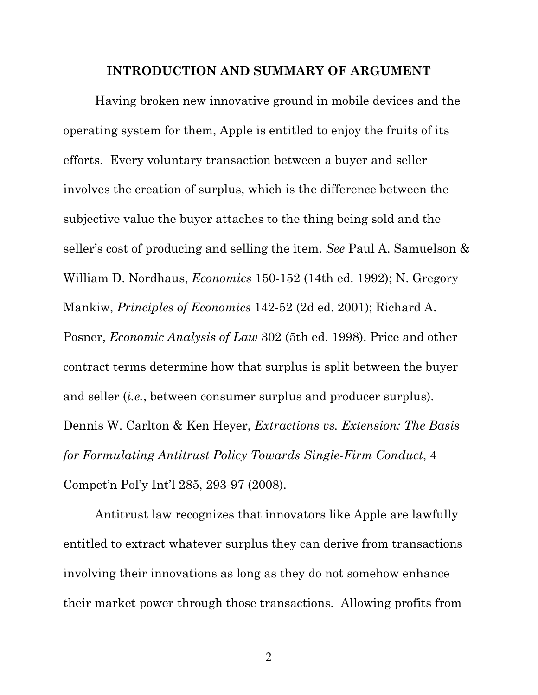#### **INTRODUCTION AND SUMMARY OF ARGUMENT**

Having broken new innovative ground in mobile devices and the operating system for them, Apple is entitled to enjoy the fruits of its efforts. Every voluntary transaction between a buyer and seller involves the creation of surplus, which is the difference between the subjective value the buyer attaches to the thing being sold and the seller's cost of producing and selling the item. *See* Paul A. Samuelson & William D. Nordhaus, *Economics* 150-152 (14th ed. 1992); N. Gregory Mankiw, *Principles of Economics* 142-52 (2d ed. 2001); Richard A. Posner, *Economic Analysis of Law* 302 (5th ed. 1998). Price and other contract terms determine how that surplus is split between the buyer and seller *(i.e.*, between consumer surplus and producer surplus). Dennis W. Carlton & Ken Heyer, *Extractions vs. Extension: The Basis for Formulating Antitrust Policy Towards Single-Firm Conduct*, 4 Compet'n Pol'y Int'l 285, 293-97 (2008).

Antitrust law recognizes that innovators like Apple are lawfully entitled to extract whatever surplus they can derive from transactions involving their innovations as long as they do not somehow enhance their market power through those transactions. Allowing profits from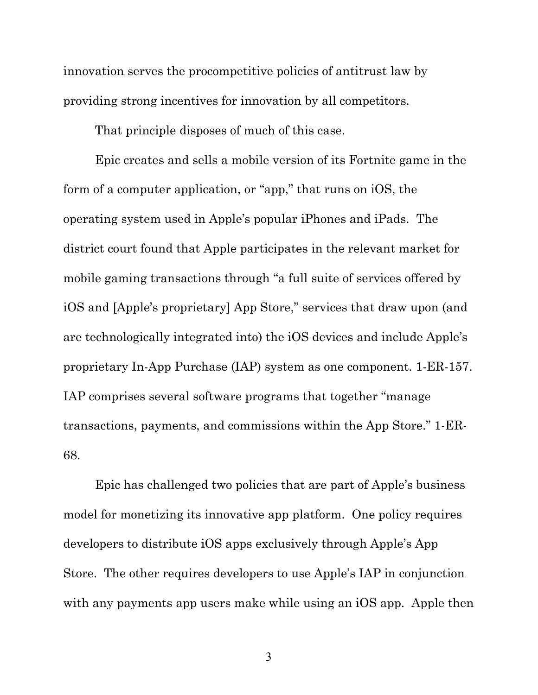innovation serves the procompetitive policies of antitrust law by providing strong incentives for innovation by all competitors.

That principle disposes of much of this case.

Epic creates and sells a mobile version of its Fortnite game in the form of a computer application, or "app," that runs on iOS, the operating system used in Apple's popular iPhones and iPads. The district court found that Apple participates in the relevant market for mobile gaming transactions through "a full suite of services offered by iOS and [Apple's proprietary] App Store," services that draw upon (and are technologically integrated into) the iOS devices and include Apple's proprietary In-App Purchase (IAP) system as one component. 1-ER-157. IAP comprises several software programs that together "manage transactions, payments, and commissions within the App Store." 1-ER-68.

Epic has challenged two policies that are part of Apple's business model for monetizing its innovative app platform. One policy requires developers to distribute iOS apps exclusively through Apple's App Store. The other requires developers to use Apple's IAP in conjunction with any payments app users make while using an iOS app. Apple then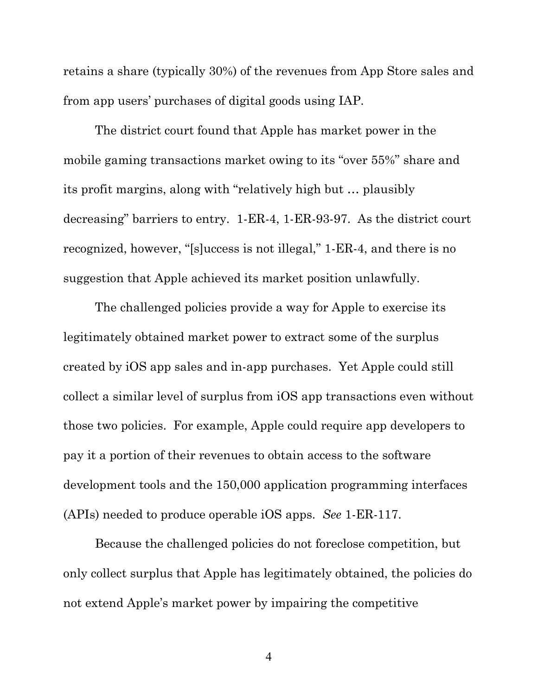retains a share (typically 30%) of the revenues from App Store sales and from app users' purchases of digital goods using IAP.

The district court found that Apple has market power in the mobile gaming transactions market owing to its "over 55%" share and its profit margins, along with "relatively high but … plausibly decreasing" barriers to entry. 1-ER-4, 1-ER-93-97. As the district court recognized, however, "[s]uccess is not illegal," 1-ER-4, and there is no suggestion that Apple achieved its market position unlawfully.

The challenged policies provide a way for Apple to exercise its legitimately obtained market power to extract some of the surplus created by iOS app sales and in-app purchases. Yet Apple could still collect a similar level of surplus from iOS app transactions even without those two policies. For example, Apple could require app developers to pay it a portion of their revenues to obtain access to the software development tools and the 150,000 application programming interfaces (APIs) needed to produce operable iOS apps. *See* 1-ER-117.

Because the challenged policies do not foreclose competition, but only collect surplus that Apple has legitimately obtained, the policies do not extend Apple's market power by impairing the competitive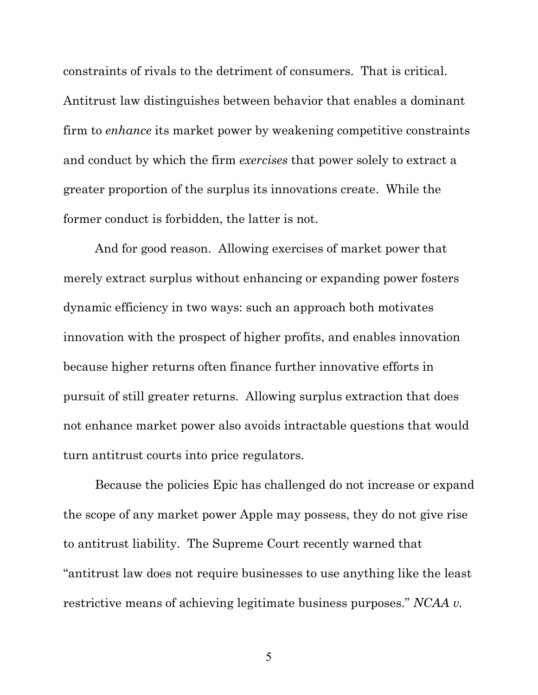constraints of rivals to the detriment of consumers. That is critical. Antitrust law distinguishes between behavior that enables a dominant firm to *enhance* its market power by weakening competitive constraints and conduct by which the firm *exercises* that power solely to extract a greater proportion of the surplus its innovations create. While the former conduct is forbidden, the latter is not.

And for good reason. Allowing exercises of market power that merely extract surplus without enhancing or expanding power fosters dynamic efficiency in two ways: such an approach both motivates innovation with the prospect of higher profits, and enables innovation because higher returns often finance further innovative efforts in pursuit of still greater returns. Allowing surplus extraction that does not enhance market power also avoids intractable questions that would turn antitrust courts into price regulators.

Because the policies Epic has challenged do not increase or expand the scope of any market power Apple may possess, they do not give rise to antitrust liability. The Supreme Court recently warned that "antitrust law does not require businesses to use anything like the least restrictive means of achieving legitimate business purposes." *NCAA v.*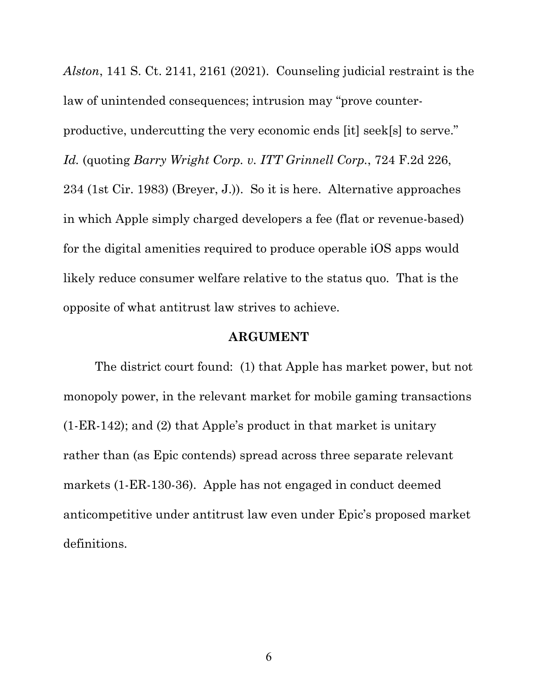*Alston*, 141 S. Ct. 2141, 2161 (2021). Counseling judicial restraint is the law of unintended consequences; intrusion may "prove counterproductive, undercutting the very economic ends [it] seek[s] to serve." *Id.* (quoting *Barry Wright Corp. v. ITT Grinnell Corp.*, 724 F.2d 226, 234 (1st Cir. 1983) (Breyer, J.)). So it is here. Alternative approaches in which Apple simply charged developers a fee (flat or revenue-based) for the digital amenities required to produce operable iOS apps would likely reduce consumer welfare relative to the status quo. That is the opposite of what antitrust law strives to achieve.

#### **ARGUMENT**

The district court found: (1) that Apple has market power, but not monopoly power, in the relevant market for mobile gaming transactions (1-ER-142); and (2) that Apple's product in that market is unitary rather than (as Epic contends) spread across three separate relevant markets (1-ER-130-36). Apple has not engaged in conduct deemed anticompetitive under antitrust law even under Epic's proposed market definitions.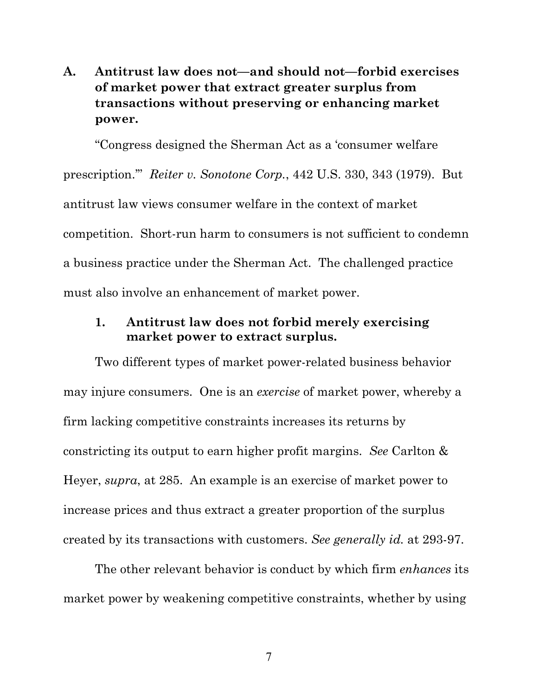## **A. Antitrust law does not—and should not—forbid exercises of market power that extract greater surplus from transactions without preserving or enhancing market power.**

"Congress designed the Sherman Act as a 'consumer welfare prescription.'" *Reiter v. Sonotone Corp.*, 442 U.S. 330, 343 (1979). But antitrust law views consumer welfare in the context of market competition. Short-run harm to consumers is not sufficient to condemn a business practice under the Sherman Act. The challenged practice must also involve an enhancement of market power.

### **1. Antitrust law does not forbid merely exercising market power to extract surplus.**

Two different types of market power-related business behavior may injure consumers. One is an *exercise* of market power, whereby a firm lacking competitive constraints increases its returns by constricting its output to earn higher profit margins. *See* Carlton & Heyer, *supra*, at 285. An example is an exercise of market power to increase prices and thus extract a greater proportion of the surplus created by its transactions with customers. *See generally id.* at 293-97.

The other relevant behavior is conduct by which firm *enhances* its market power by weakening competitive constraints, whether by using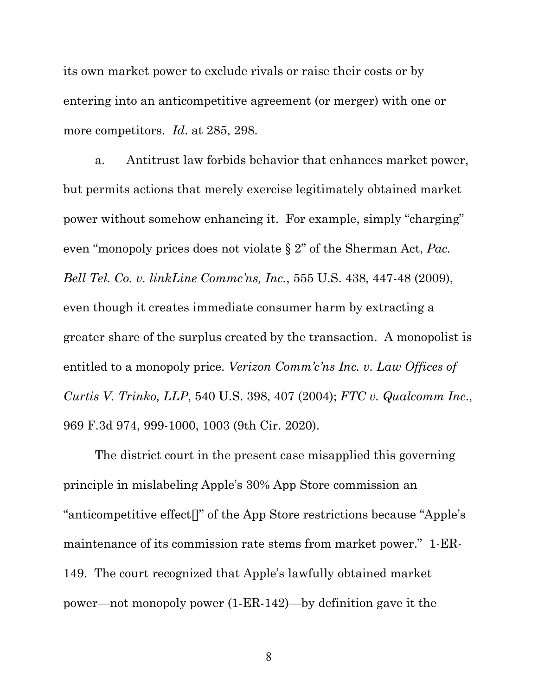its own market power to exclude rivals or raise their costs or by entering into an anticompetitive agreement (or merger) with one or more competitors. *Id*. at 285, 298.

a. Antitrust law forbids behavior that enhances market power, but permits actions that merely exercise legitimately obtained market power without somehow enhancing it. For example, simply "charging" even "monopoly prices does not violate § 2" of the Sherman Act, *Pac. Bell Tel. Co. v. linkLine Commc'ns, Inc.*, 555 U.S. 438, 447-48 (2009), even though it creates immediate consumer harm by extracting a greater share of the surplus created by the transaction. A monopolist is entitled to a monopoly price. *Verizon Comm'c'ns Inc. v. Law Offices of Curtis V. Trinko, LLP*, 540 U.S. 398, 407 (2004); *FTC v. Qualcomm Inc*., 969 F.3d 974, 999-1000, 1003 (9th Cir. 2020).

The district court in the present case misapplied this governing principle in mislabeling Apple's 30% App Store commission an "anticompetitive effect[]" of the App Store restrictions because "Apple's maintenance of its commission rate stems from market power." 1-ER-149. The court recognized that Apple's lawfully obtained market power—not monopoly power (1-ER-142)—by definition gave it the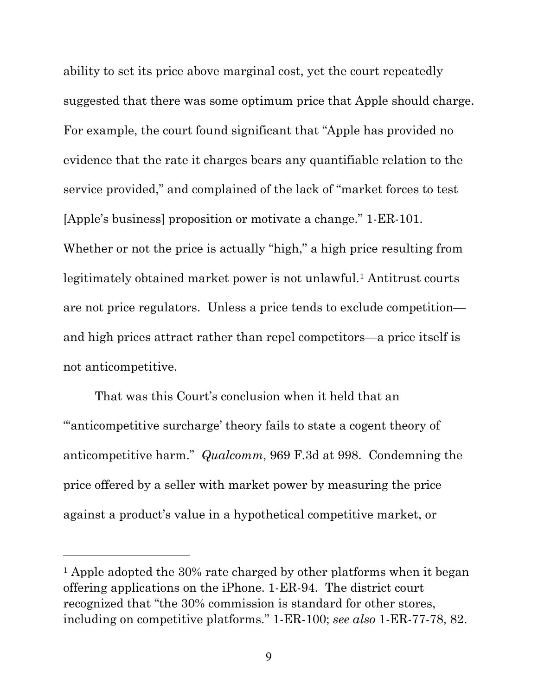ability to set its price above marginal cost, yet the court repeatedly suggested that there was some optimum price that Apple should charge. For example, the court found significant that "Apple has provided no evidence that the rate it charges bears any quantifiable relation to the service provided," and complained of the lack of "market forces to test [Apple's business] proposition or motivate a change." 1-ER-101. Whether or not the price is actually "high," a high price resulting from legitimately obtained market power is not unlawful.<sup>[1](#page-14-0)</sup> Antitrust courts are not price regulators. Unless a price tends to exclude competition and high prices attract rather than repel competitors—a price itself is not anticompetitive.

That was this Court's conclusion when it held that an "'anticompetitive surcharge' theory fails to state a cogent theory of anticompetitive harm." *Qualcomm*, 969 F.3d at 998. Condemning the price offered by a seller with market power by measuring the price against a product's value in a hypothetical competitive market, or

<span id="page-14-0"></span><sup>&</sup>lt;sup>1</sup> Apple adopted the 30% rate charged by other platforms when it began offering applications on the iPhone. 1-ER-94. The district court recognized that "the 30% commission is standard for other stores, including on competitive platforms." 1-ER-100; *see also* 1-ER-77-78, 82.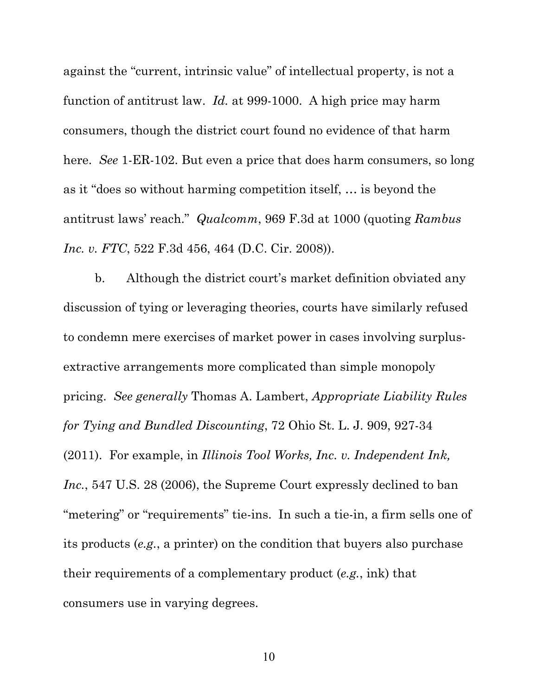against the "current, intrinsic value" of intellectual property, is not a function of antitrust law. *Id.* at 999-1000. A high price may harm consumers, though the district court found no evidence of that harm here. *See* 1-ER-102. But even a price that does harm consumers, so long as it "does so without harming competition itself, … is beyond the antitrust laws' reach." *Qualcomm*, 969 F.3d at 1000 (quoting *Rambus Inc. v. FTC*, 522 F.3d 456, 464 (D.C. Cir. 2008)).

b. Although the district court's market definition obviated any discussion of tying or leveraging theories, courts have similarly refused to condemn mere exercises of market power in cases involving surplusextractive arrangements more complicated than simple monopoly pricing. *See generally* Thomas A. Lambert, *Appropriate Liability Rules for Tying and Bundled Discounting*, 72 Ohio St. L. J. 909, 927-34 (2011). For example, in *Illinois Tool Works, Inc. v. Independent Ink, Inc.*, 547 U.S. 28 (2006), the Supreme Court expressly declined to ban "metering" or "requirements" tie-ins. In such a tie-in, a firm sells one of its products (*e.g.*, a printer) on the condition that buyers also purchase their requirements of a complementary product (*e.g.*, ink) that consumers use in varying degrees.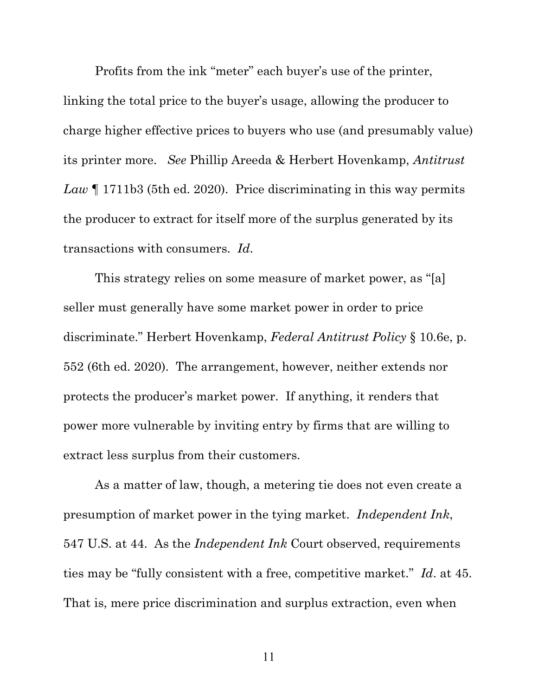Profits from the ink "meter" each buyer's use of the printer, linking the total price to the buyer's usage, allowing the producer to charge higher effective prices to buyers who use (and presumably value) its printer more. *See* Phillip Areeda & Herbert Hovenkamp, *Antitrust Law* ¶ 1711b3 (5th ed. 2020). Price discriminating in this way permits the producer to extract for itself more of the surplus generated by its transactions with consumers. *Id*.

This strategy relies on some measure of market power, as "[a] seller must generally have some market power in order to price discriminate." Herbert Hovenkamp, *Federal Antitrust Policy* § 10.6e, p. 552 (6th ed. 2020). The arrangement, however, neither extends nor protects the producer's market power. If anything, it renders that power more vulnerable by inviting entry by firms that are willing to extract less surplus from their customers.

As a matter of law, though, a metering tie does not even create a presumption of market power in the tying market. *Independent Ink*, 547 U.S. at 44. As the *Independent Ink* Court observed, requirements ties may be "fully consistent with a free, competitive market." *Id*. at 45. That is, mere price discrimination and surplus extraction, even when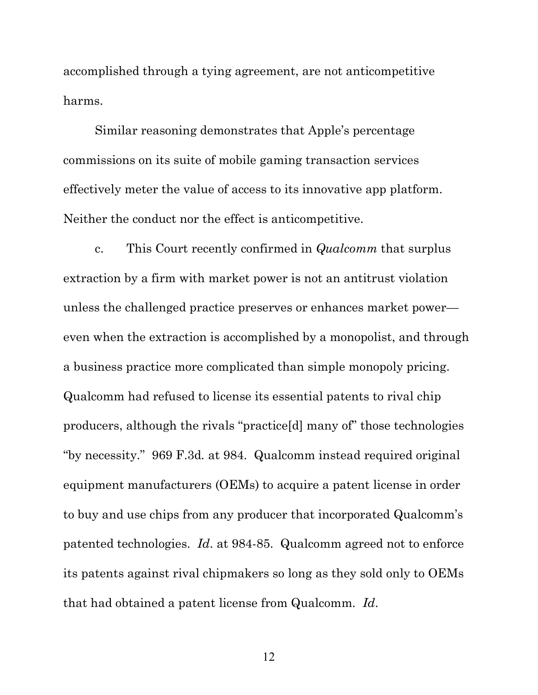accomplished through a tying agreement, are not anticompetitive harms.

Similar reasoning demonstrates that Apple's percentage commissions on its suite of mobile gaming transaction services effectively meter the value of access to its innovative app platform. Neither the conduct nor the effect is anticompetitive.

c. This Court recently confirmed in *Qualcomm* that surplus extraction by a firm with market power is not an antitrust violation unless the challenged practice preserves or enhances market power even when the extraction is accomplished by a monopolist, and through a business practice more complicated than simple monopoly pricing. Qualcomm had refused to license its essential patents to rival chip producers, although the rivals "practice[d] many of" those technologies "by necessity." 969 F.3d*.* at 984. Qualcomm instead required original equipment manufacturers (OEMs) to acquire a patent license in order to buy and use chips from any producer that incorporated Qualcomm's patented technologies. *Id*. at 984-85. Qualcomm agreed not to enforce its patents against rival chipmakers so long as they sold only to OEMs that had obtained a patent license from Qualcomm. *Id*.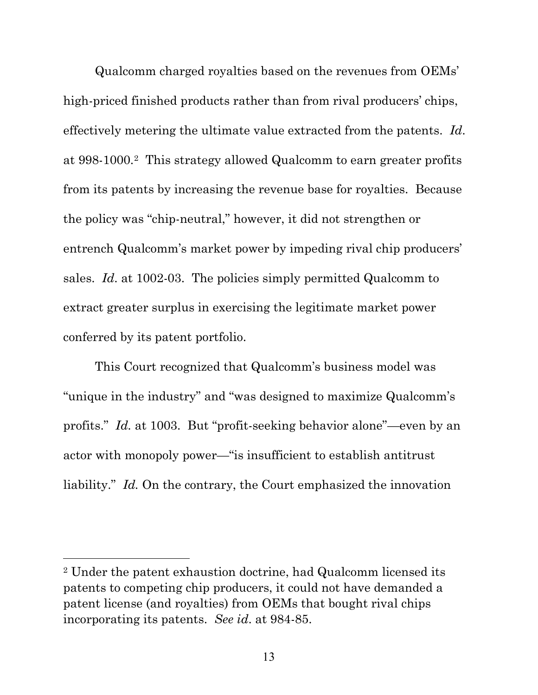Qualcomm charged royalties based on the revenues from OEMs' high-priced finished products rather than from rival producers' chips, effectively metering the ultimate value extracted from the patents. *Id*. at 998-1000.[2](#page-18-0) This strategy allowed Qualcomm to earn greater profits from its patents by increasing the revenue base for royalties. Because the policy was "chip-neutral," however, it did not strengthen or entrench Qualcomm's market power by impeding rival chip producers' sales. *Id*. at 1002-03. The policies simply permitted Qualcomm to extract greater surplus in exercising the legitimate market power conferred by its patent portfolio.

This Court recognized that Qualcomm's business model was "unique in the industry" and "was designed to maximize Qualcomm's profits." *Id.* at 1003. But "profit-seeking behavior alone"—even by an actor with monopoly power—"is insufficient to establish antitrust liability." *Id.* On the contrary, the Court emphasized the innovation

<span id="page-18-0"></span><sup>2</sup> Under the patent exhaustion doctrine, had Qualcomm licensed its patents to competing chip producers, it could not have demanded a patent license (and royalties) from OEMs that bought rival chips incorporating its patents. *See id*. at 984-85.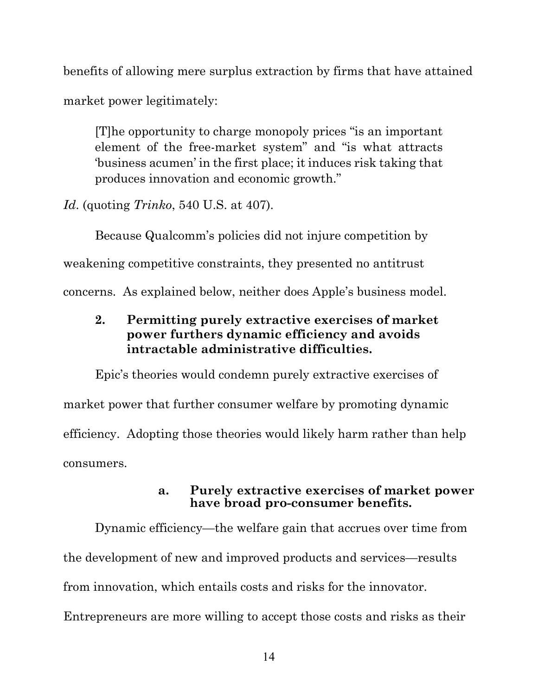benefits of allowing mere surplus extraction by firms that have attained market power legitimately:

[T]he opportunity to charge monopoly prices "is an important element of the free-market system" and "is what attracts 'business acumen' in the first place; it induces risk taking that produces innovation and economic growth."

*Id*. (quoting *Trinko*, 540 U.S. at 407).

Because Qualcomm's policies did not injure competition by weakening competitive constraints, they presented no antitrust concerns. As explained below, neither does Apple's business model.

## **2. Permitting purely extractive exercises of market power furthers dynamic efficiency and avoids intractable administrative difficulties.**

Epic's theories would condemn purely extractive exercises of market power that further consumer welfare by promoting dynamic efficiency. Adopting those theories would likely harm rather than help consumers.

### **a. Purely extractive exercises of market power have broad pro-consumer benefits.**

Dynamic efficiency—the welfare gain that accrues over time from the development of new and improved products and services—results from innovation, which entails costs and risks for the innovator. Entrepreneurs are more willing to accept those costs and risks as their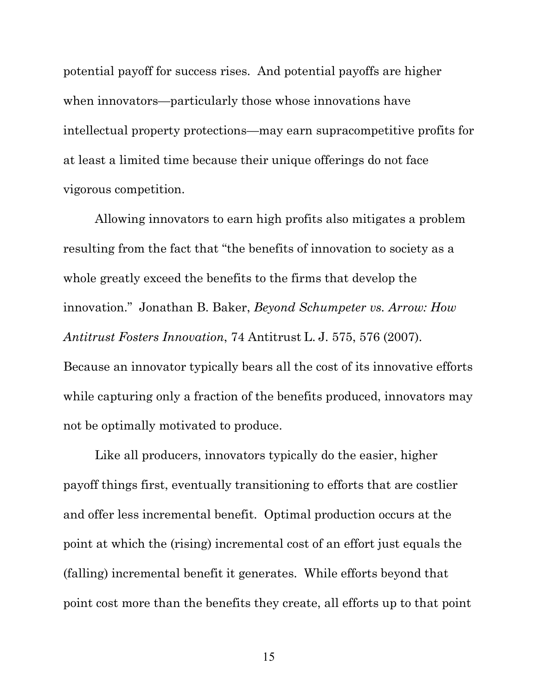potential payoff for success rises. And potential payoffs are higher when innovators—particularly those whose innovations have intellectual property protections—may earn supracompetitive profits for at least a limited time because their unique offerings do not face vigorous competition.

Allowing innovators to earn high profits also mitigates a problem resulting from the fact that "the benefits of innovation to society as a whole greatly exceed the benefits to the firms that develop the innovation." Jonathan B. Baker, *Beyond Schumpeter vs. Arrow: How Antitrust Fosters Innovation*, 74 Antitrust L. J. 575, 576 (2007). Because an innovator typically bears all the cost of its innovative efforts while capturing only a fraction of the benefits produced, innovators may not be optimally motivated to produce.

Like all producers, innovators typically do the easier, higher payoff things first, eventually transitioning to efforts that are costlier and offer less incremental benefit. Optimal production occurs at the point at which the (rising) incremental cost of an effort just equals the (falling) incremental benefit it generates. While efforts beyond that point cost more than the benefits they create, all efforts up to that point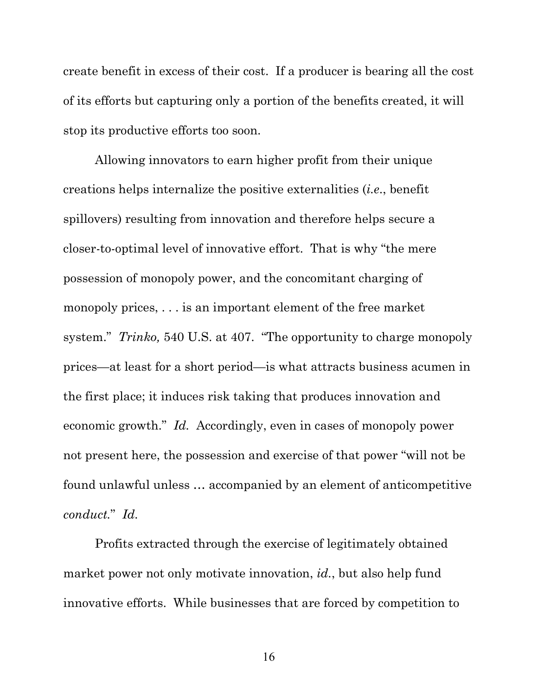create benefit in excess of their cost. If a producer is bearing all the cost of its efforts but capturing only a portion of the benefits created, it will stop its productive efforts too soon.

Allowing innovators to earn higher profit from their unique creations helps internalize the positive externalities (*i.e*., benefit spillovers) resulting from innovation and therefore helps secure a closer-to-optimal level of innovative effort. That is why "the mere possession of monopoly power, and the concomitant charging of monopoly prices, . . . is an important element of the free market system." *Trinko,* 540 U.S. at 407. "The opportunity to charge monopoly prices—at least for a short period—is what attracts business acumen in the first place; it induces risk taking that produces innovation and economic growth." *Id.* Accordingly, even in cases of monopoly power not present here, the possession and exercise of that power "will not be found unlawful unless … accompanied by an element of anticompetitive *conduct.*" *Id.*

Profits extracted through the exercise of legitimately obtained market power not only motivate innovation, *id.*, but also help fund innovative efforts. While businesses that are forced by competition to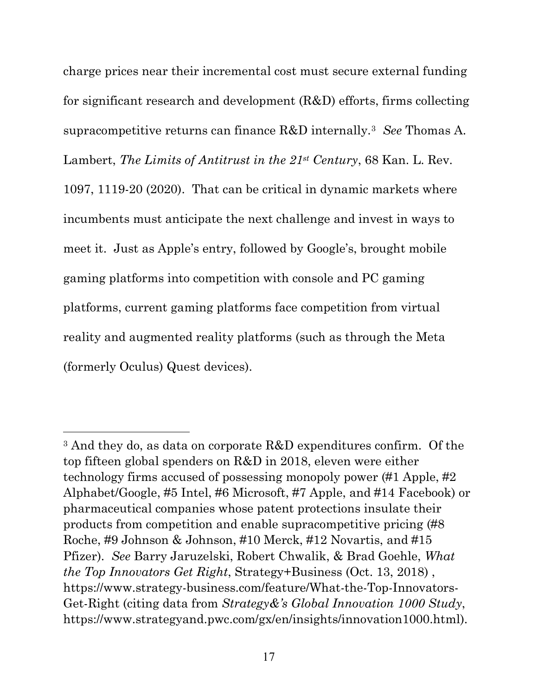charge prices near their incremental cost must secure external funding for significant research and development (R&D) efforts, firms collecting supracompetitive returns can finance R&D internally.[3](#page-22-0) *See* Thomas A. Lambert, *The Limits of Antitrust in the 21st Century*, 68 Kan. L. Rev. 1097, 1119-20 (2020). That can be critical in dynamic markets where incumbents must anticipate the next challenge and invest in ways to meet it. Just as Apple's entry, followed by Google's, brought mobile gaming platforms into competition with console and PC gaming platforms, current gaming platforms face competition from virtual reality and augmented reality platforms (such as through the Meta (formerly Oculus) Quest devices).

<span id="page-22-0"></span><sup>3</sup> And they do, as data on corporate R&D expenditures confirm. Of the top fifteen global spenders on R&D in 2018, eleven were either technology firms accused of possessing monopoly power (#1 Apple, #2 Alphabet/Google, #5 Intel, #6 Microsoft, #7 Apple, and #14 Facebook) or pharmaceutical companies whose patent protections insulate their products from competition and enable supracompetitive pricing (#8 Roche, #9 Johnson & Johnson, #10 Merck, #12 Novartis, and #15 Pfizer). *See* Barry Jaruzelski, Robert Chwalik, & Brad Goehle, *What the Top Innovators Get Right*, Strategy+Business (Oct. 13, 2018) , https://www.strategy-business.com/feature/What-the-Top-Innovators-Get-Right (citing data from *Strategy&'s Global Innovation 1000 Study*, https://www.strategyand.pwc.com/gx/en/insights/innovation1000.html).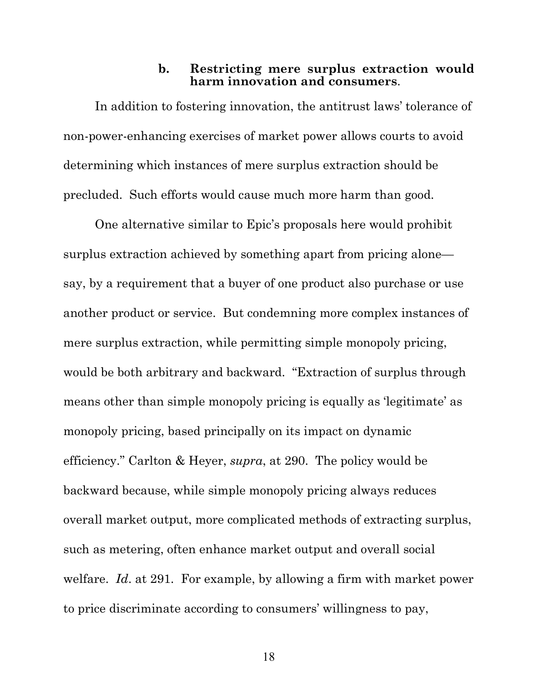#### **b. Restricting mere surplus extraction would harm innovation and consumers**.

In addition to fostering innovation, the antitrust laws' tolerance of non-power-enhancing exercises of market power allows courts to avoid determining which instances of mere surplus extraction should be precluded. Such efforts would cause much more harm than good.

One alternative similar to Epic's proposals here would prohibit surplus extraction achieved by something apart from pricing alone say, by a requirement that a buyer of one product also purchase or use another product or service. But condemning more complex instances of mere surplus extraction, while permitting simple monopoly pricing, would be both arbitrary and backward. "Extraction of surplus through means other than simple monopoly pricing is equally as 'legitimate' as monopoly pricing, based principally on its impact on dynamic efficiency." Carlton & Heyer, *supra*, at 290. The policy would be backward because, while simple monopoly pricing always reduces overall market output, more complicated methods of extracting surplus, such as metering, often enhance market output and overall social welfare. *Id*. at 291. For example, by allowing a firm with market power to price discriminate according to consumers' willingness to pay,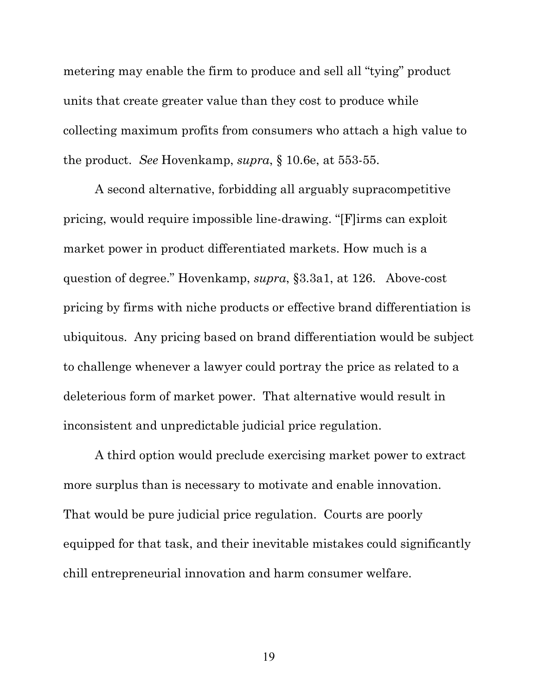metering may enable the firm to produce and sell all "tying" product units that create greater value than they cost to produce while collecting maximum profits from consumers who attach a high value to the product. *See* Hovenkamp, *supra*, § 10.6e, at 553-55.

A second alternative, forbidding all arguably supracompetitive pricing, would require impossible line-drawing. "[F]irms can exploit market power in product differentiated markets. How much is a question of degree." Hovenkamp, *supra*, §3.3a1, at 126. Above-cost pricing by firms with niche products or effective brand differentiation is ubiquitous. Any pricing based on brand differentiation would be subject to challenge whenever a lawyer could portray the price as related to a deleterious form of market power. That alternative would result in inconsistent and unpredictable judicial price regulation.

A third option would preclude exercising market power to extract more surplus than is necessary to motivate and enable innovation. That would be pure judicial price regulation. Courts are poorly equipped for that task, and their inevitable mistakes could significantly chill entrepreneurial innovation and harm consumer welfare.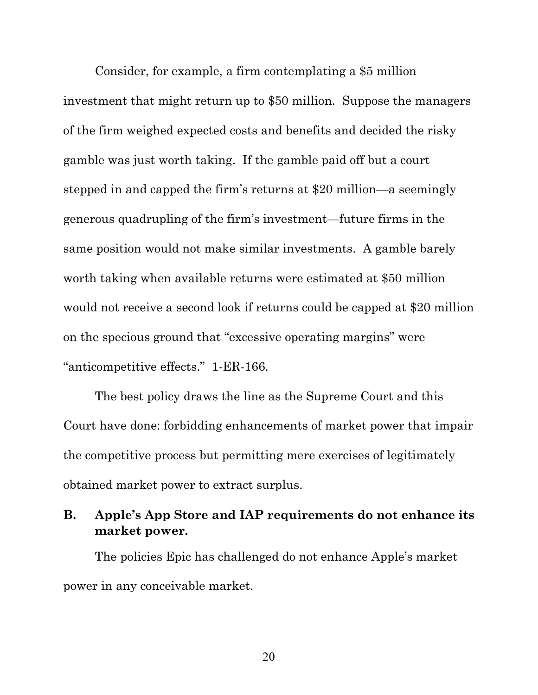Consider, for example, a firm contemplating a \$5 million investment that might return up to \$50 million. Suppose the managers of the firm weighed expected costs and benefits and decided the risky gamble was just worth taking. If the gamble paid off but a court stepped in and capped the firm's returns at \$20 million—a seemingly generous quadrupling of the firm's investment—future firms in the same position would not make similar investments. A gamble barely worth taking when available returns were estimated at \$50 million would not receive a second look if returns could be capped at \$20 million on the specious ground that "excessive operating margins" were "anticompetitive effects." 1-ER-166.

The best policy draws the line as the Supreme Court and this Court have done: forbidding enhancements of market power that impair the competitive process but permitting mere exercises of legitimately obtained market power to extract surplus.

## **B. Apple's App Store and IAP requirements do not enhance its market power.**

The policies Epic has challenged do not enhance Apple's market power in any conceivable market.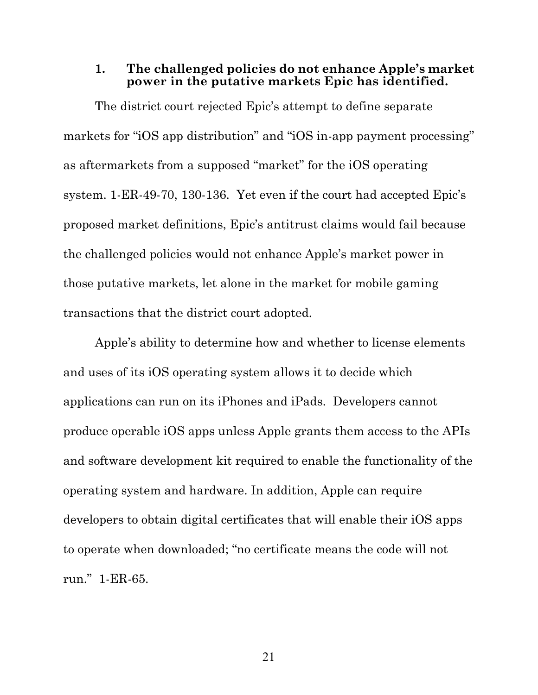#### **1. The challenged policies do not enhance Apple's market power in the putative markets Epic has identified.**

The district court rejected Epic's attempt to define separate markets for "iOS app distribution" and "iOS in-app payment processing" as aftermarkets from a supposed "market" for the iOS operating system. 1-ER-49-70, 130-136. Yet even if the court had accepted Epic's proposed market definitions, Epic's antitrust claims would fail because the challenged policies would not enhance Apple's market power in those putative markets, let alone in the market for mobile gaming transactions that the district court adopted.

Apple's ability to determine how and whether to license elements and uses of its iOS operating system allows it to decide which applications can run on its iPhones and iPads. Developers cannot produce operable iOS apps unless Apple grants them access to the APIs and software development kit required to enable the functionality of the operating system and hardware. In addition, Apple can require developers to obtain digital certificates that will enable their iOS apps to operate when downloaded; "no certificate means the code will not run." 1-ER-65.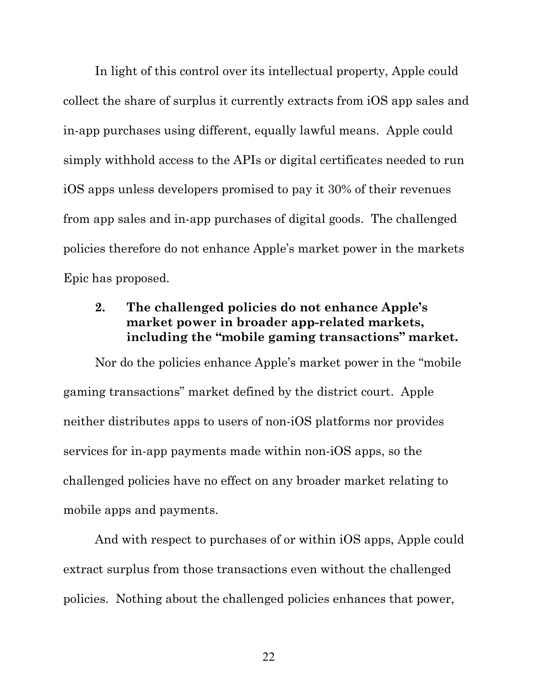In light of this control over its intellectual property, Apple could collect the share of surplus it currently extracts from iOS app sales and in-app purchases using different, equally lawful means. Apple could simply withhold access to the APIs or digital certificates needed to run iOS apps unless developers promised to pay it 30% of their revenues from app sales and in-app purchases of digital goods. The challenged policies therefore do not enhance Apple's market power in the markets Epic has proposed.

## **2. The challenged policies do not enhance Apple's market power in broader app-related markets, including the "mobile gaming transactions" market.**

Nor do the policies enhance Apple's market power in the "mobile gaming transactions" market defined by the district court. Apple neither distributes apps to users of non-iOS platforms nor provides services for in-app payments made within non-iOS apps, so the challenged policies have no effect on any broader market relating to mobile apps and payments.

And with respect to purchases of or within iOS apps, Apple could extract surplus from those transactions even without the challenged policies. Nothing about the challenged policies enhances that power,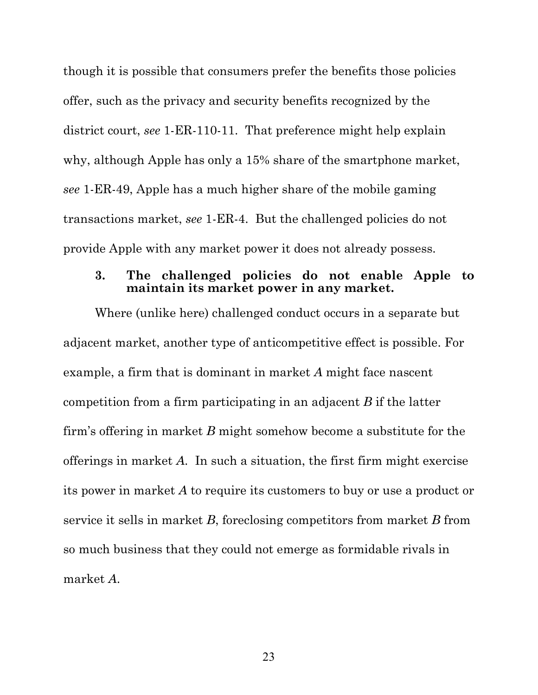though it is possible that consumers prefer the benefits those policies offer, such as the privacy and security benefits recognized by the district court, *see* 1-ER-110-11. That preference might help explain why, although Apple has only a 15% share of the smartphone market, *see* 1-ER-49, Apple has a much higher share of the mobile gaming transactions market, *see* 1-ER-4. But the challenged policies do not provide Apple with any market power it does not already possess.

#### **3. The challenged policies do not enable Apple to maintain its market power in any market.**

Where (unlike here) challenged conduct occurs in a separate but adjacent market, another type of anticompetitive effect is possible. For example, a firm that is dominant in market *A* might face nascent competition from a firm participating in an adjacent *B* if the latter firm's offering in market *B* might somehow become a substitute for the offerings in market *A*. In such a situation, the first firm might exercise its power in market *A* to require its customers to buy or use a product or service it sells in market *B*, foreclosing competitors from market *B* from so much business that they could not emerge as formidable rivals in market *A*.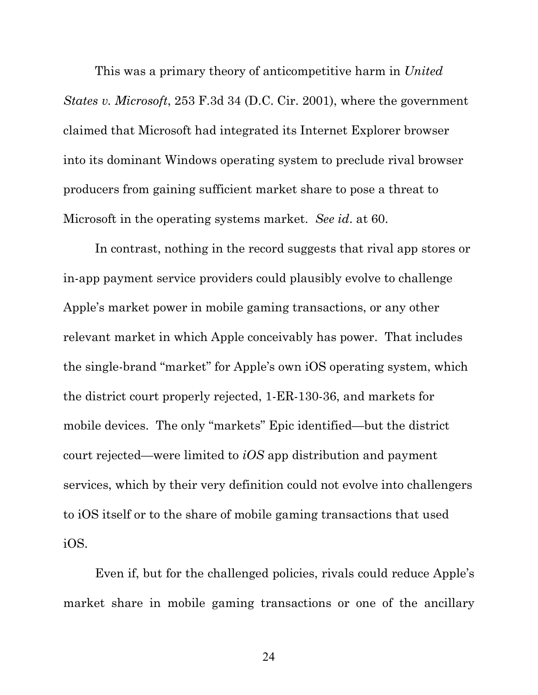This was a primary theory of anticompetitive harm in *United States v. Microsoft*, 253 F.3d 34 (D.C. Cir. 2001), where the government claimed that Microsoft had integrated its Internet Explorer browser into its dominant Windows operating system to preclude rival browser producers from gaining sufficient market share to pose a threat to Microsoft in the operating systems market. *See id*. at 60.

In contrast, nothing in the record suggests that rival app stores or in-app payment service providers could plausibly evolve to challenge Apple's market power in mobile gaming transactions, or any other relevant market in which Apple conceivably has power. That includes the single-brand "market" for Apple's own iOS operating system, which the district court properly rejected, 1-ER-130-36, and markets for mobile devices. The only "markets" Epic identified—but the district court rejected—were limited to *iOS* app distribution and payment services, which by their very definition could not evolve into challengers to iOS itself or to the share of mobile gaming transactions that used iOS.

Even if, but for the challenged policies, rivals could reduce Apple's market share in mobile gaming transactions or one of the ancillary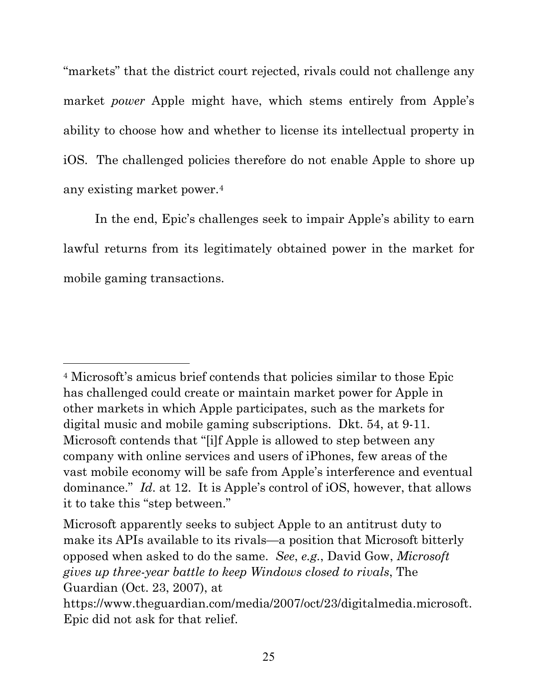"markets" that the district court rejected, rivals could not challenge any market *power* Apple might have, which stems entirely from Apple's ability to choose how and whether to license its intellectual property in iOS. The challenged policies therefore do not enable Apple to shore up any existing market power.[4](#page-30-0) 

In the end, Epic's challenges seek to impair Apple's ability to earn lawful returns from its legitimately obtained power in the market for mobile gaming transactions.

<span id="page-30-0"></span><sup>4</sup> Microsoft's amicus brief contends that policies similar to those Epic has challenged could create or maintain market power for Apple in other markets in which Apple participates, such as the markets for digital music and mobile gaming subscriptions. Dkt. 54, at 9-11. Microsoft contends that "[i]f Apple is allowed to step between any company with online services and users of iPhones, few areas of the vast mobile economy will be safe from Apple's interference and eventual dominance." *Id*. at 12. It is Apple's control of iOS, however, that allows it to take this "step between."

Microsoft apparently seeks to subject Apple to an antitrust duty to make its APIs available to its rivals—a position that Microsoft bitterly opposed when asked to do the same. *See*, *e.g.*, David Gow, *Microsoft gives up three-year battle to keep Windows closed to rivals*, The Guardian (Oct. 23, 2007), at

https://www.theguardian.com/media/2007/oct/23/digitalmedia.microsoft. Epic did not ask for that relief.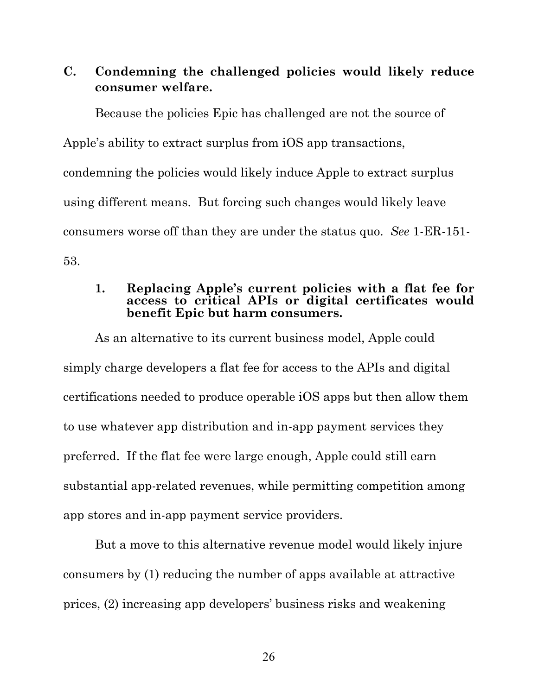## **C. Condemning the challenged policies would likely reduce consumer welfare.**

Because the policies Epic has challenged are not the source of Apple's ability to extract surplus from iOS app transactions, condemning the policies would likely induce Apple to extract surplus using different means. But forcing such changes would likely leave consumers worse off than they are under the status quo. *See* 1-ER-151- 53.

#### **1. Replacing Apple's current policies with a flat fee for access to critical APIs or digital certificates would benefit Epic but harm consumers.**

As an alternative to its current business model, Apple could simply charge developers a flat fee for access to the APIs and digital certifications needed to produce operable iOS apps but then allow them to use whatever app distribution and in-app payment services they preferred. If the flat fee were large enough, Apple could still earn substantial app-related revenues, while permitting competition among app stores and in-app payment service providers.

But a move to this alternative revenue model would likely injure consumers by (1) reducing the number of apps available at attractive prices, (2) increasing app developers' business risks and weakening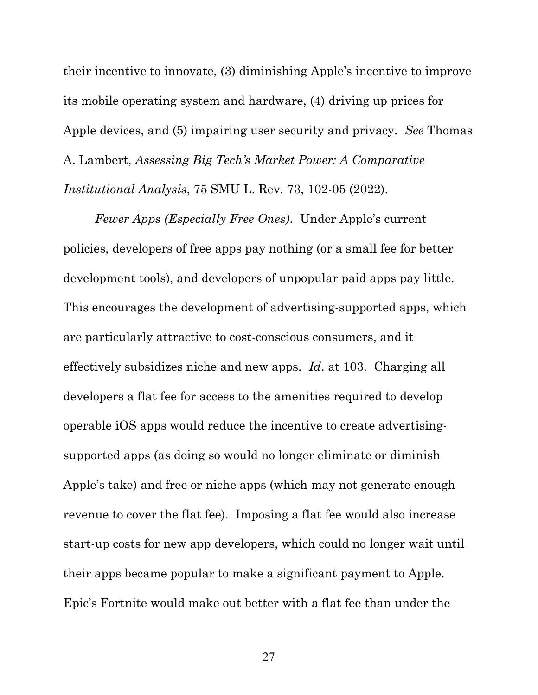their incentive to innovate, (3) diminishing Apple's incentive to improve its mobile operating system and hardware, (4) driving up prices for Apple devices, and (5) impairing user security and privacy. *See* Thomas A. Lambert, *Assessing Big Tech's Market Power: A Comparative Institutional Analysis*, 75 SMU L. Rev. 73, 102-05 (2022).

*Fewer Apps (Especially Free Ones)*.Under Apple's current policies, developers of free apps pay nothing (or a small fee for better development tools), and developers of unpopular paid apps pay little. This encourages the development of advertising-supported apps, which are particularly attractive to cost-conscious consumers, and it effectively subsidizes niche and new apps. *Id*. at 103. Charging all developers a flat fee for access to the amenities required to develop operable iOS apps would reduce the incentive to create advertisingsupported apps (as doing so would no longer eliminate or diminish Apple's take) and free or niche apps (which may not generate enough revenue to cover the flat fee). Imposing a flat fee would also increase start-up costs for new app developers, which could no longer wait until their apps became popular to make a significant payment to Apple. Epic's Fortnite would make out better with a flat fee than under the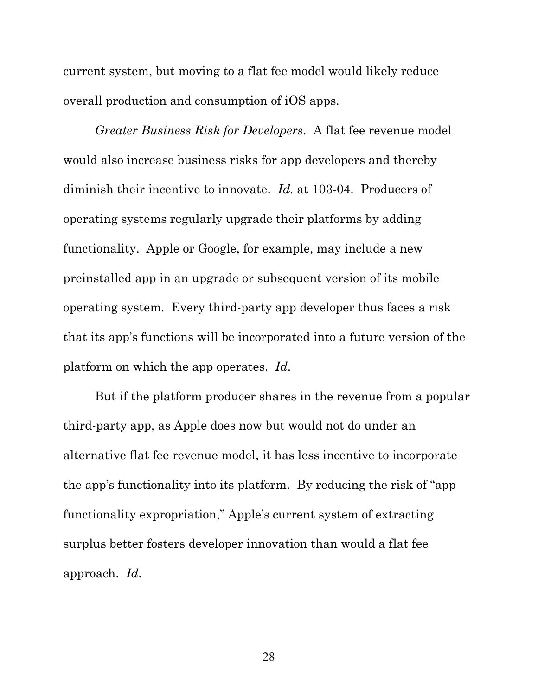current system, but moving to a flat fee model would likely reduce overall production and consumption of iOS apps.

*Greater Business Risk for Developers*.A flat fee revenue model would also increase business risks for app developers and thereby diminish their incentive to innovate. *Id.* at 103-04. Producers of operating systems regularly upgrade their platforms by adding functionality. Apple or Google, for example, may include a new preinstalled app in an upgrade or subsequent version of its mobile operating system. Every third-party app developer thus faces a risk that its app's functions will be incorporated into a future version of the platform on which the app operates. *Id*.

But if the platform producer shares in the revenue from a popular third-party app, as Apple does now but would not do under an alternative flat fee revenue model, it has less incentive to incorporate the app's functionality into its platform. By reducing the risk of "app functionality expropriation," Apple's current system of extracting surplus better fosters developer innovation than would a flat fee approach. *Id*.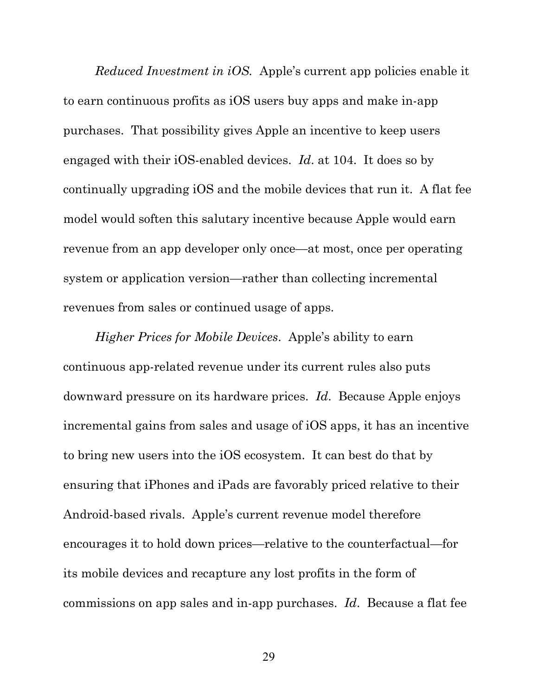*Reduced Investment in iOS.* Apple's current app policies enable it to earn continuous profits as iOS users buy apps and make in-app purchases. That possibility gives Apple an incentive to keep users engaged with their iOS-enabled devices. *Id*. at 104. It does so by continually upgrading iOS and the mobile devices that run it. A flat fee model would soften this salutary incentive because Apple would earn revenue from an app developer only once—at most, once per operating system or application version—rather than collecting incremental revenues from sales or continued usage of apps.

*Higher Prices for Mobile Devices*.Apple's ability to earn continuous app-related revenue under its current rules also puts downward pressure on its hardware prices. *Id*. Because Apple enjoys incremental gains from sales and usage of iOS apps, it has an incentive to bring new users into the iOS ecosystem. It can best do that by ensuring that iPhones and iPads are favorably priced relative to their Android-based rivals. Apple's current revenue model therefore encourages it to hold down prices—relative to the counterfactual—for its mobile devices and recapture any lost profits in the form of commissions on app sales and in-app purchases. *Id*. Because a flat fee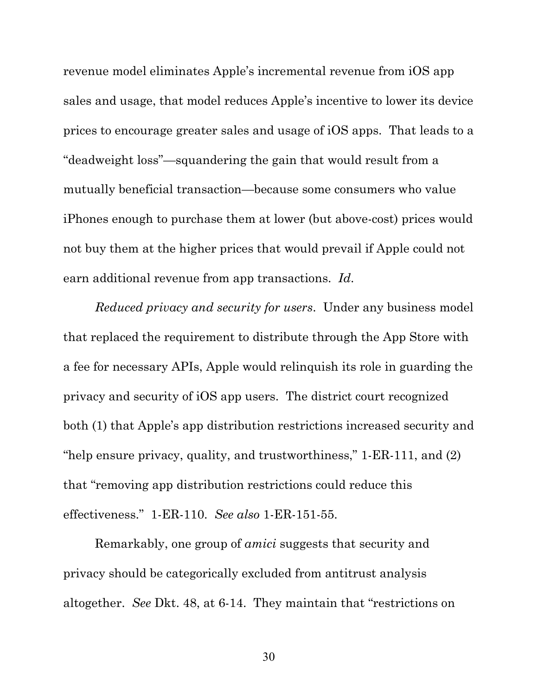revenue model eliminates Apple's incremental revenue from iOS app sales and usage, that model reduces Apple's incentive to lower its device prices to encourage greater sales and usage of iOS apps. That leads to a "deadweight loss"—squandering the gain that would result from a mutually beneficial transaction—because some consumers who value iPhones enough to purchase them at lower (but above-cost) prices would not buy them at the higher prices that would prevail if Apple could not earn additional revenue from app transactions. *Id*.

*Reduced privacy and security for users*. Under any business model that replaced the requirement to distribute through the App Store with a fee for necessary APIs, Apple would relinquish its role in guarding the privacy and security of iOS app users. The district court recognized both (1) that Apple's app distribution restrictions increased security and "help ensure privacy, quality, and trustworthiness," 1-ER-111, and (2) that "removing app distribution restrictions could reduce this effectiveness." 1-ER-110. *See also* 1-ER-151-55.

Remarkably, one group of *amici* suggests that security and privacy should be categorically excluded from antitrust analysis altogether. *See* Dkt. 48, at 6-14. They maintain that "restrictions on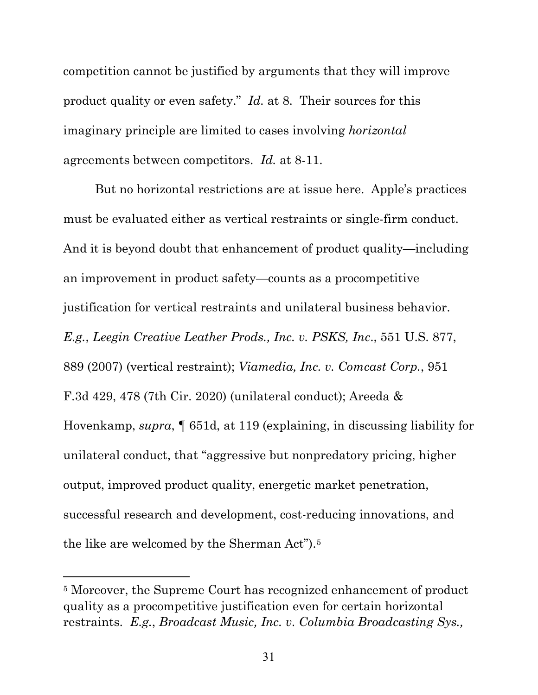competition cannot be justified by arguments that they will improve product quality or even safety." *Id.* at 8. Their sources for this imaginary principle are limited to cases involving *horizontal*  agreements between competitors. *Id.* at 8-11.

But no horizontal restrictions are at issue here. Apple's practices must be evaluated either as vertical restraints or single-firm conduct. And it is beyond doubt that enhancement of product quality—including an improvement in product safety—counts as a procompetitive justification for vertical restraints and unilateral business behavior. *E.g.*, *Leegin Creative Leather Prods., Inc. v. PSKS, Inc*., 551 U.S. 877, 889 (2007) (vertical restraint); *Viamedia, Inc. v. Comcast Corp.*, 951 F.3d 429, 478 (7th Cir. 2020) (unilateral conduct); Areeda & Hovenkamp, *supra*, ¶ 651d, at 119 (explaining, in discussing liability for unilateral conduct, that "aggressive but nonpredatory pricing, higher output, improved product quality, energetic market penetration, successful research and development, cost-reducing innovations, and the like are welcomed by the Sherman Act").[5](#page-36-0)

<span id="page-36-0"></span><sup>5</sup> Moreover, the Supreme Court has recognized enhancement of product quality as a procompetitive justification even for certain horizontal restraints. *E.g.*, *Broadcast Music, Inc. v. Columbia Broadcasting Sys.,*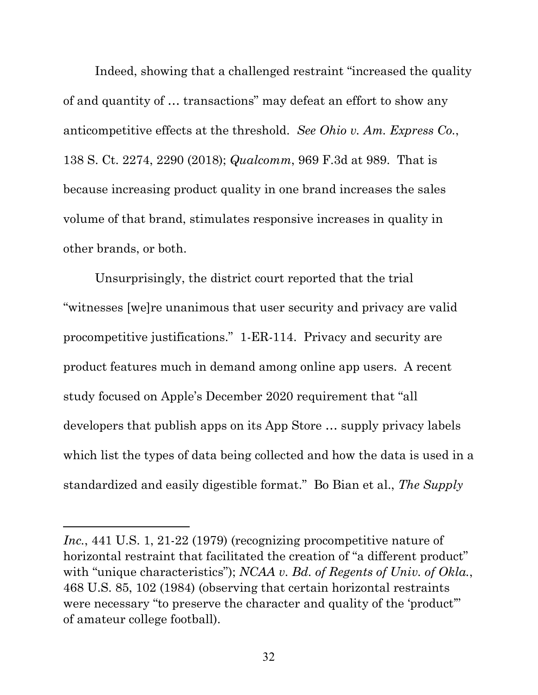Indeed, showing that a challenged restraint "increased the quality of and quantity of … transactions" may defeat an effort to show any anticompetitive effects at the threshold. *See Ohio v. Am. Express Co.*, 138 S. Ct. 2274, 2290 (2018); *Qualcomm*, 969 F.3d at 989. That is because increasing product quality in one brand increases the sales volume of that brand, stimulates responsive increases in quality in other brands, or both.

Unsurprisingly, the district court reported that the trial "witnesses [we]re unanimous that user security and privacy are valid procompetitive justifications." 1-ER-114. Privacy and security are product features much in demand among online app users. A recent study focused on Apple's December 2020 requirement that "all developers that publish apps on its App Store … supply privacy labels which list the types of data being collected and how the data is used in a standardized and easily digestible format." Bo Bian et al., *The Supply* 

Inc., 441 U.S. 1, 21-22 (1979) (recognizing procompetitive nature of horizontal restraint that facilitated the creation of "a different product" with "unique characteristics"); *NCAA v. Bd. of Regents of Univ. of Okla.*, 468 U.S. 85, 102 (1984) (observing that certain horizontal restraints were necessary "to preserve the character and quality of the 'product'" of amateur college football).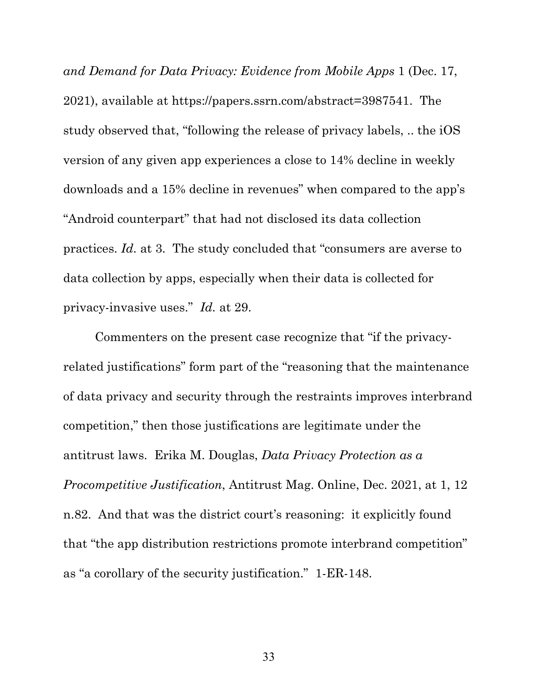*and Demand for Data Privacy: Evidence from Mobile Apps* 1 (Dec. 17, 2021), available at https://papers.ssrn.com/abstract=3987541. The study observed that, "following the release of privacy labels, .. the iOS version of any given app experiences a close to 14% decline in weekly downloads and a 15% decline in revenues" when compared to the app's "Android counterpart" that had not disclosed its data collection practices. *Id.* at 3. The study concluded that "consumers are averse to data collection by apps, especially when their data is collected for privacy-invasive uses." *Id.* at 29.

Commenters on the present case recognize that "if the privacyrelated justifications" form part of the "reasoning that the maintenance of data privacy and security through the restraints improves interbrand competition," then those justifications are legitimate under the antitrust laws. Erika M. Douglas, *Data Privacy Protection as a Procompetitive Justification*, Antitrust Mag. Online, Dec. 2021, at 1, 12 n.82. And that was the district court's reasoning: it explicitly found that "the app distribution restrictions promote interbrand competition" as "a corollary of the security justification." 1-ER-148.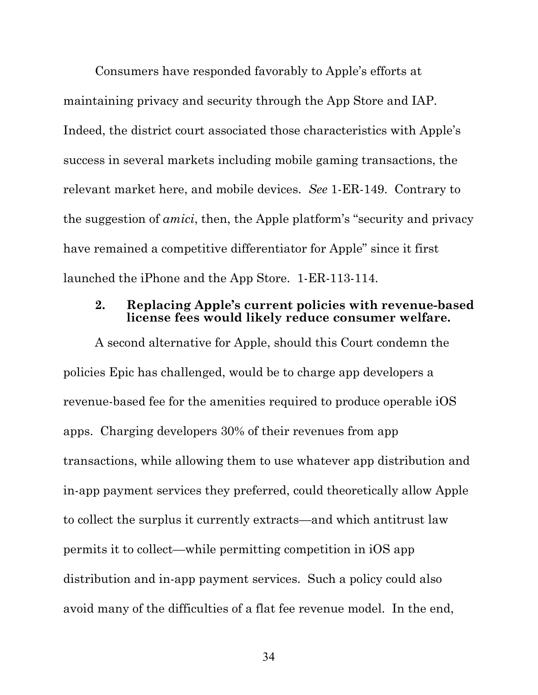Consumers have responded favorably to Apple's efforts at maintaining privacy and security through the App Store and IAP. Indeed, the district court associated those characteristics with Apple's success in several markets including mobile gaming transactions, the relevant market here, and mobile devices. *See* 1-ER-149. Contrary to the suggestion of *amici*, then, the Apple platform's "security and privacy have remained a competitive differentiator for Apple" since it first launched the iPhone and the App Store. 1-ER-113-114.

#### **2. Replacing Apple's current policies with revenue-based license fees would likely reduce consumer welfare.**

A second alternative for Apple, should this Court condemn the policies Epic has challenged, would be to charge app developers a revenue-based fee for the amenities required to produce operable iOS apps. Charging developers 30% of their revenues from app transactions, while allowing them to use whatever app distribution and in-app payment services they preferred, could theoretically allow Apple to collect the surplus it currently extracts—and which antitrust law permits it to collect—while permitting competition in iOS app distribution and in-app payment services. Such a policy could also avoid many of the difficulties of a flat fee revenue model. In the end,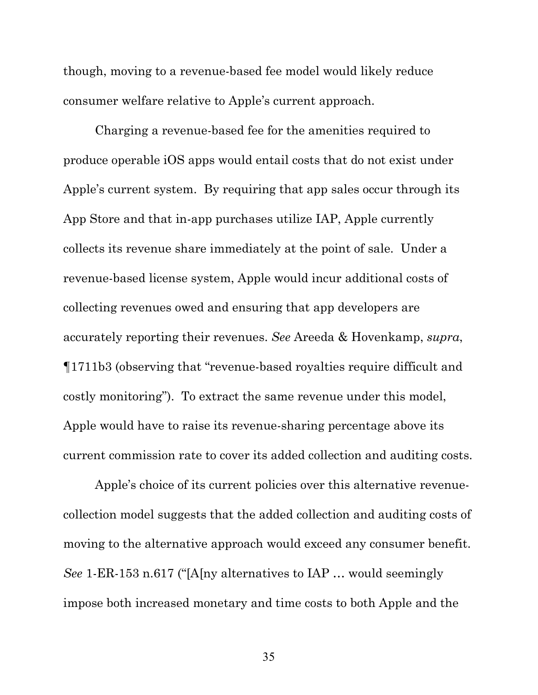though, moving to a revenue-based fee model would likely reduce consumer welfare relative to Apple's current approach.

Charging a revenue-based fee for the amenities required to produce operable iOS apps would entail costs that do not exist under Apple's current system. By requiring that app sales occur through its App Store and that in-app purchases utilize IAP, Apple currently collects its revenue share immediately at the point of sale. Under a revenue-based license system, Apple would incur additional costs of collecting revenues owed and ensuring that app developers are accurately reporting their revenues. *See* Areeda & Hovenkamp, *supra*, ¶1711b3 (observing that "revenue-based royalties require difficult and costly monitoring"). To extract the same revenue under this model, Apple would have to raise its revenue-sharing percentage above its current commission rate to cover its added collection and auditing costs.

Apple's choice of its current policies over this alternative revenuecollection model suggests that the added collection and auditing costs of moving to the alternative approach would exceed any consumer benefit. *See* 1-ER-153 n.617 ("[A[ny alternatives to IAP … would seemingly impose both increased monetary and time costs to both Apple and the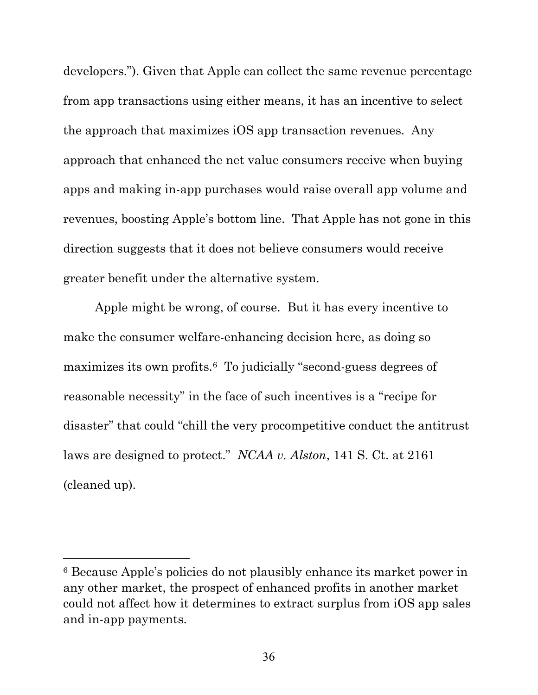developers."). Given that Apple can collect the same revenue percentage from app transactions using either means, it has an incentive to select the approach that maximizes iOS app transaction revenues. Any approach that enhanced the net value consumers receive when buying apps and making in-app purchases would raise overall app volume and revenues, boosting Apple's bottom line. That Apple has not gone in this direction suggests that it does not believe consumers would receive greater benefit under the alternative system.

Apple might be wrong, of course. But it has every incentive to make the consumer welfare-enhancing decision here, as doing so maximizes its own profits.[6](#page-41-0) To judicially "second-guess degrees of reasonable necessity" in the face of such incentives is a "recipe for disaster" that could "chill the very procompetitive conduct the antitrust laws are designed to protect." *NCAA v. Alston*, 141 S. Ct. at 2161 (cleaned up).

<span id="page-41-0"></span><sup>6</sup> Because Apple's policies do not plausibly enhance its market power in any other market, the prospect of enhanced profits in another market could not affect how it determines to extract surplus from iOS app sales and in-app payments.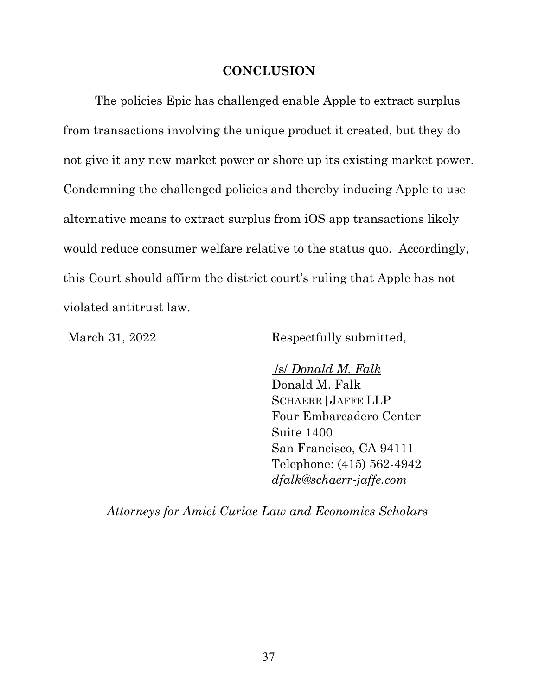#### **CONCLUSION**

The policies Epic has challenged enable Apple to extract surplus from transactions involving the unique product it created, but they do not give it any new market power or shore up its existing market power. Condemning the challenged policies and thereby inducing Apple to use alternative means to extract surplus from iOS app transactions likely would reduce consumer welfare relative to the status quo. Accordingly, this Court should affirm the district court's ruling that Apple has not violated antitrust law.

March 31, 2022 Respectfully submitted,

/s/ *Donald M. Falk* Donald M. Falk SCHAERR|JAFFE LLP Four Embarcadero Center Suite 1400 San Francisco, CA 94111 Telephone: (415) 562-4942 *dfalk@schaerr-jaffe.com*

*Attorneys for Amici Curiae Law and Economics Scholars*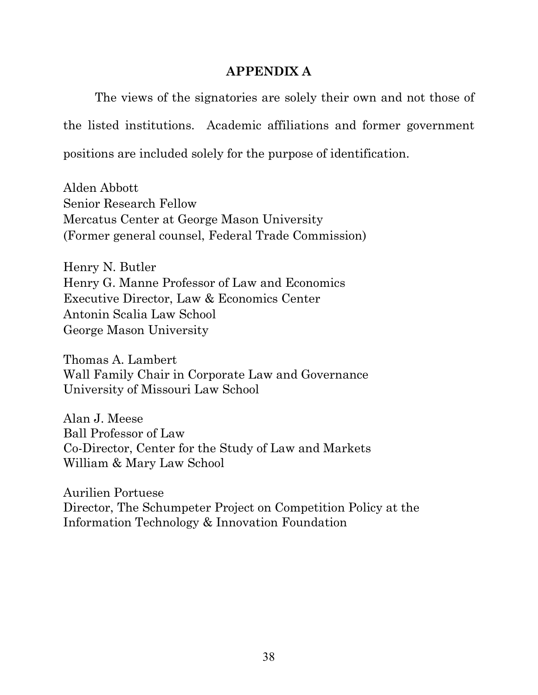### **APPENDIX A**

The views of the signatories are solely their own and not those of the listed institutions. Academic affiliations and former government positions are included solely for the purpose of identification.

Alden Abbott Senior Research Fellow Mercatus Center at George Mason University (Former general counsel, Federal Trade Commission)

Henry N. Butler Henry G. Manne Professor of Law and Economics Executive Director, Law & Economics Center Antonin Scalia Law School George Mason University

Thomas A. Lambert Wall Family Chair in Corporate Law and Governance University of Missouri Law School

Alan J. Meese Ball Professor of Law Co-Director, Center for the Study of Law and Markets William & Mary Law School

Aurilien Portuese Director, The Schumpeter Project on Competition Policy at the Information Technology & Innovation Foundation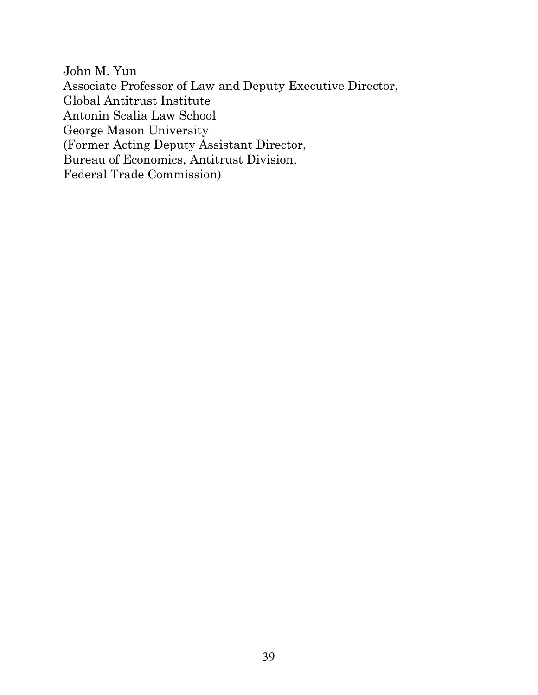John M. Yun Associate Professor of Law and Deputy Executive Director, Global Antitrust Institute Antonin Scalia Law School George Mason University (Former Acting Deputy Assistant Director, Bureau of Economics, Antitrust Division, Federal Trade Commission)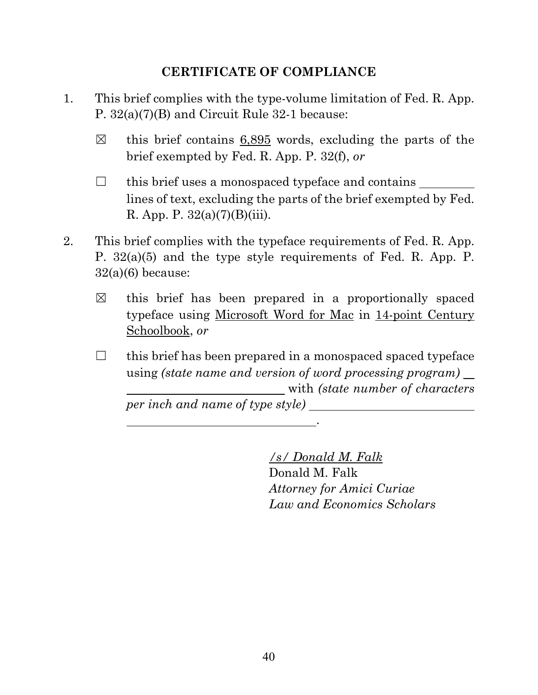## **CERTIFICATE OF COMPLIANCE**

- 1. This brief complies with the type-volume limitation of Fed. R. App. P. 32(a)(7)(B) and Circuit Rule 32-1 because:
	- $\boxtimes$  this brief contains 6,895 words, excluding the parts of the brief exempted by Fed. R. App. P. 32(f), *or*
	- $\Box$  this brief uses a monospaced typeface and contains lines of text, excluding the parts of the brief exempted by Fed. R. App. P.  $32(a)(7)(B)(iii)$ .
- 2. This brief complies with the typeface requirements of Fed. R. App. P. 32(a)(5) and the type style requirements of Fed. R. App. P.  $32(a)(6)$  because:
	- $\boxtimes$  this brief has been prepared in a proportionally spaced typeface using Microsoft Word for Mac in 14-point Century Schoolbook, *or*
	- $\Box$  this brief has been prepared in a monospaced spaced typeface using *(state name and version of word processing program)* with *(state number of characters per inch and name of type style)*

.

*/s/ Donald M. Falk* Donald M. Falk *Attorney for Amici Curiae Law and Economics Scholars*